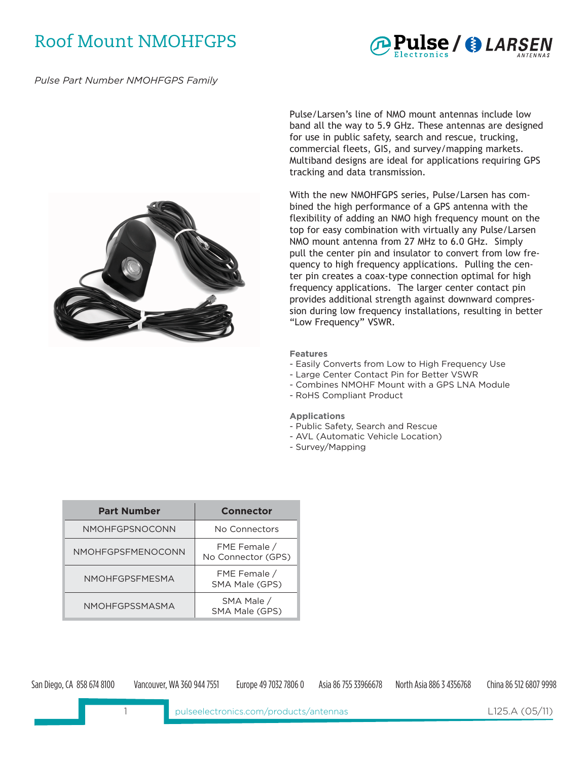# Roof Mount NMOHFGPS *APulse / @ LARSEN*



*Pulse Part Number NMOHFGPS Family*



Pulse/Larsen's line of NMO mount antennas include low band all the way to 5.9 GHz. These antennas are designed for use in public safety, search and rescue, trucking, commercial fleets, GIS, and survey/mapping markets. Multiband designs are ideal for applications requiring GPS tracking and data transmission.

With the new NMOHFGPS series, Pulse/Larsen has combined the high performance of a GPS antenna with the flexibility of adding an NMO high frequency mount on the top for easy combination with virtually any Pulse/Larsen NMO mount antenna from 27 MHz to 6.0 GHz. Simply pull the center pin and insulator to convert from low frequency to high frequency applications. Pulling the center pin creates a coax-type connection optimal for high frequency applications. The larger center contact pin provides additional strength against downward compression during low frequency installations, resulting in better "Low Frequency" VSWR.

#### **Features**

- Easily Converts from Low to High Frequency Use
- Large Center Contact Pin for Better VSWR
- Combines NMOHF Mount with a GPS LNA Module
- RoHS Compliant Product

#### **Applications**

- Public Safety, Search and Rescue
- AVL (Automatic Vehicle Location)
- Survey/Mapping

| <b>Part Number</b>    | <b>Connector</b>                   |
|-----------------------|------------------------------------|
| NMOHFGPSNOCONN        | No Connectors                      |
| NMOHFGPSFMENOCONN     | FME Female /<br>No Connector (GPS) |
| <b>NMOHFGPSFMFSMA</b> | FME Female /<br>SMA Male (GPS)     |
| NMOHFGPSSMASMA        | SMA Male /<br>SMA Male (GPS)       |

San Diego, CA 858 674 8100 Vancouver, WA 360 944 7551 Europe 49 7032 7806 0 Asia 86 755 33966678 North Asia 886 3 4356768 China 86 512 6807 9998

L125.A (05/11)